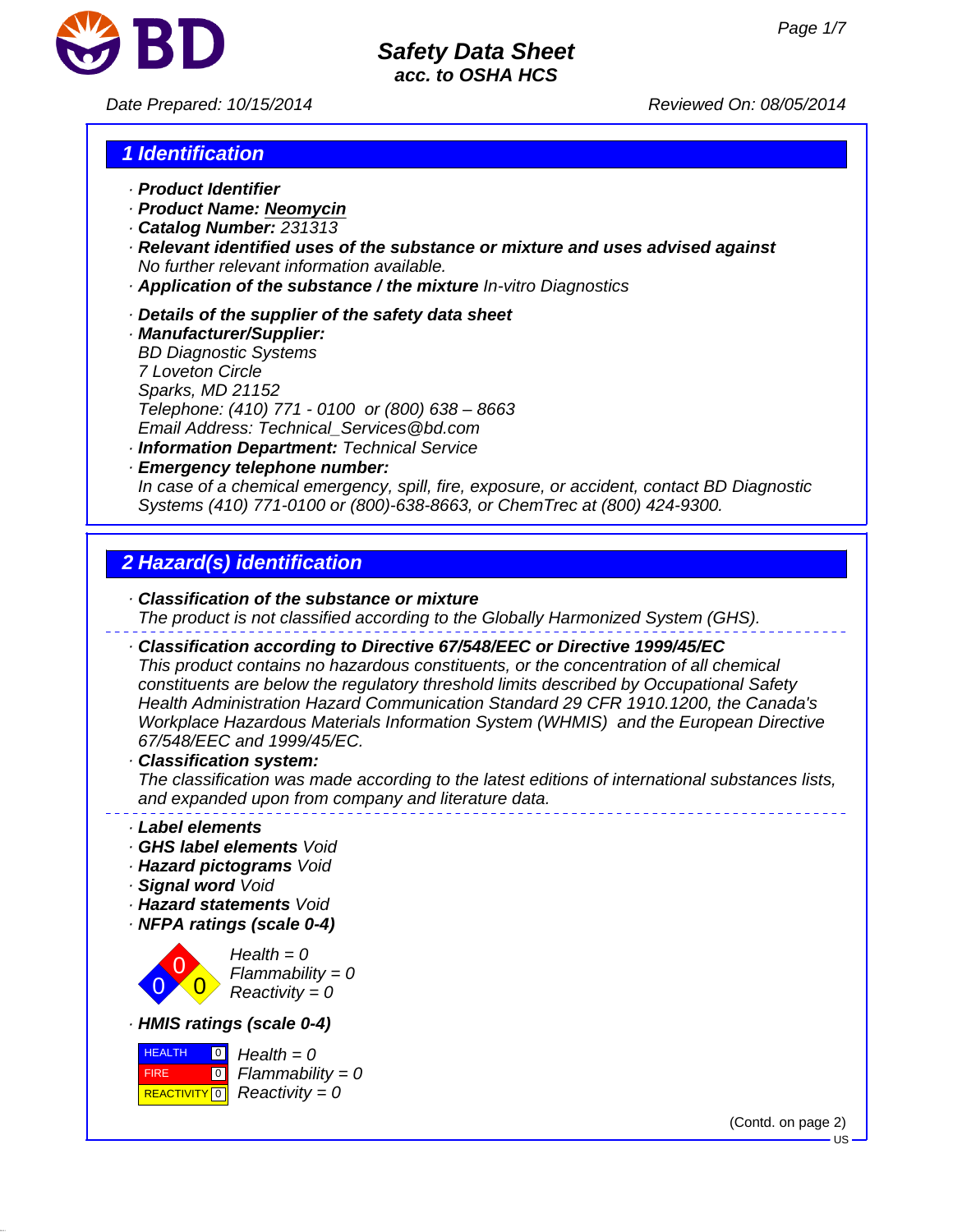

*Date Prepared: 10/15/2014 Reviewed On: 08/05/2014*

# *1 Identification*

- *· Product Identifier*
- *· Product Name: Neomycin*
- *· Catalog Number: 231313*
- *· Relevant identified uses of the substance or mixture and uses advised against No further relevant information available.*
- *· Application of the substance / the mixture In-vitro Diagnostics*
- *· Details of the supplier of the safety data sheet*
- *· Manufacturer/Supplier: BD Diagnostic Systems 7 Loveton Circle Sparks, MD 21152 Telephone: (410) 771 - 0100 or (800) 638 – 8663 Email Address: Technical\_Services@bd.com · Information Department: Technical Service*
- *· Emergency telephone number: In case of a chemical emergency, spill, fire, exposure, or accident, contact BD Diagnostic Systems (410) 771-0100 or (800)-638-8663, or ChemTrec at (800) 424-9300.*

# *2 Hazard(s) identification*

*· Classification of the substance or mixture The product is not classified according to the Globally Harmonized System (GHS).*

*· Classification according to Directive 67/548/EEC or Directive 1999/45/EC*

*This product contains no hazardous constituents, or the concentration of all chemical constituents are below the regulatory threshold limits described by Occupational Safety Health Administration Hazard Communication Standard 29 CFR 1910.1200, the Canada's Workplace Hazardous Materials Information System (WHMIS) and the European Directive 67/548/EEC and 1999/45/EC.*

#### *· Classification system:*

*The classification was made according to the latest editions of international substances lists, and expanded upon from company and literature data.*

- *· Label elements*
- *· GHS label elements Void*
- *· Hazard pictograms Void*
- *· Signal word Void*
- *· Hazard statements Void*
- *· NFPA ratings (scale 0-4)*



*Health = 0 Flammability = 0 Reactivity = 0*

*· HMIS ratings (scale 0-4)*



(Contd. on page 2)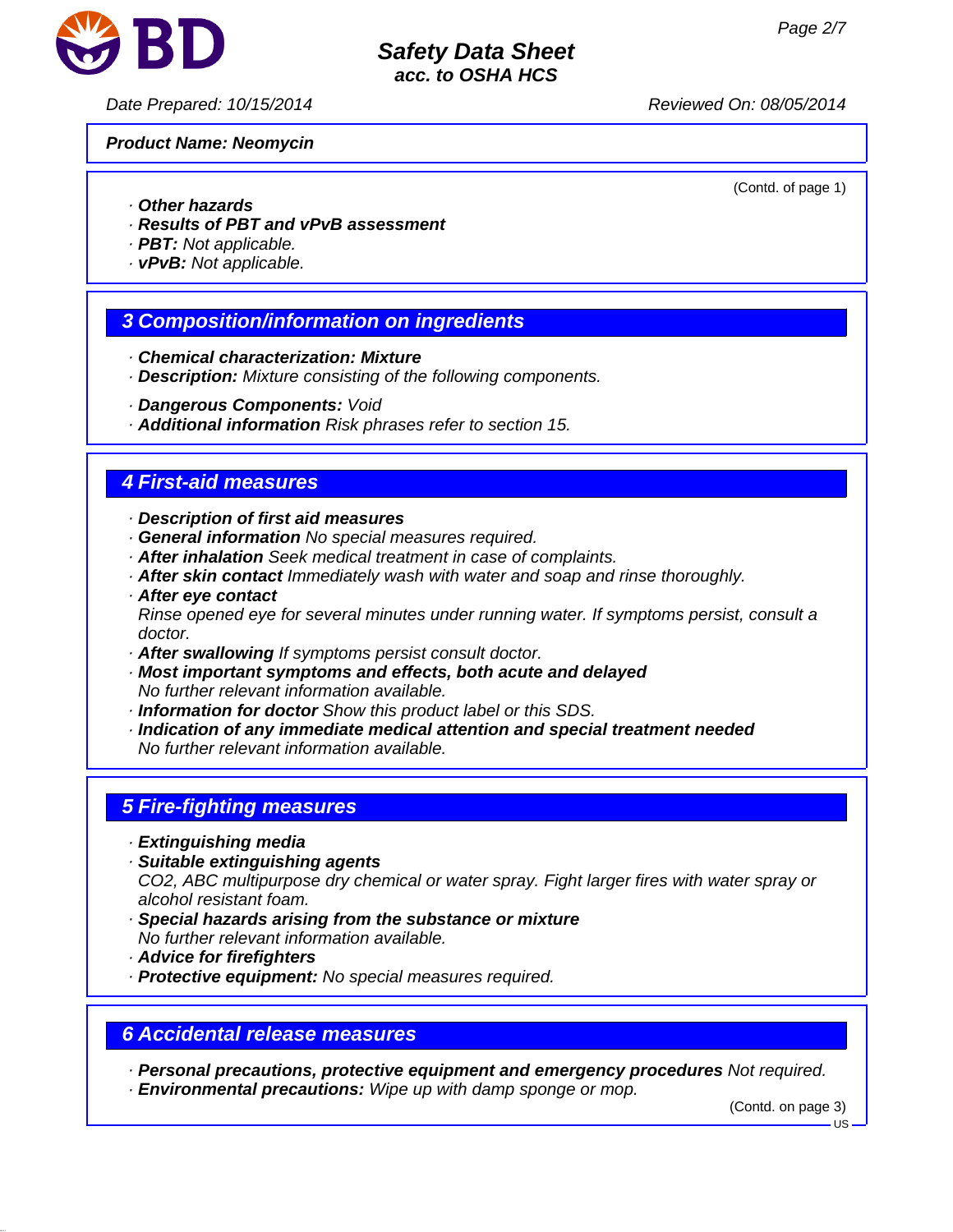

*Date Prepared: 10/15/2014 Reviewed On: 08/05/2014*

*Product Name: Neomycin*

(Contd. of page 1)

- *· Other hazards*
- *· Results of PBT and vPvB assessment*
- *· PBT: Not applicable.*
- *· vPvB: Not applicable.*

## *3 Composition/information on ingredients*

- *· Chemical characterization: Mixture*
- *· Description: Mixture consisting of the following components.*
- *· Dangerous Components: Void*
- *· Additional information Risk phrases refer to section 15.*

## *4 First-aid measures*

- *· Description of first aid measures*
- *· General information No special measures required.*
- *· After inhalation Seek medical treatment in case of complaints.*
- *· After skin contact Immediately wash with water and soap and rinse thoroughly.*
- *· After eye contact Rinse opened eye for several minutes under running water. If symptoms persist, consult a doctor.*
- *· After swallowing If symptoms persist consult doctor.*
- *· Most important symptoms and effects, both acute and delayed No further relevant information available.*
- *· Information for doctor Show this product label or this SDS.*
- *· Indication of any immediate medical attention and special treatment needed No further relevant information available.*

# *5 Fire-fighting measures*

- *· Extinguishing media*
- *· Suitable extinguishing agents CO2, ABC multipurpose dry chemical or water spray. Fight larger fires with water spray or alcohol resistant foam.*
- *· Special hazards arising from the substance or mixture No further relevant information available.*
- *· Advice for firefighters*
- *· Protective equipment: No special measures required.*

# *6 Accidental release measures*

*· Personal precautions, protective equipment and emergency procedures Not required.*

*· Environmental precautions: Wipe up with damp sponge or mop.*

(Contd. on page 3) US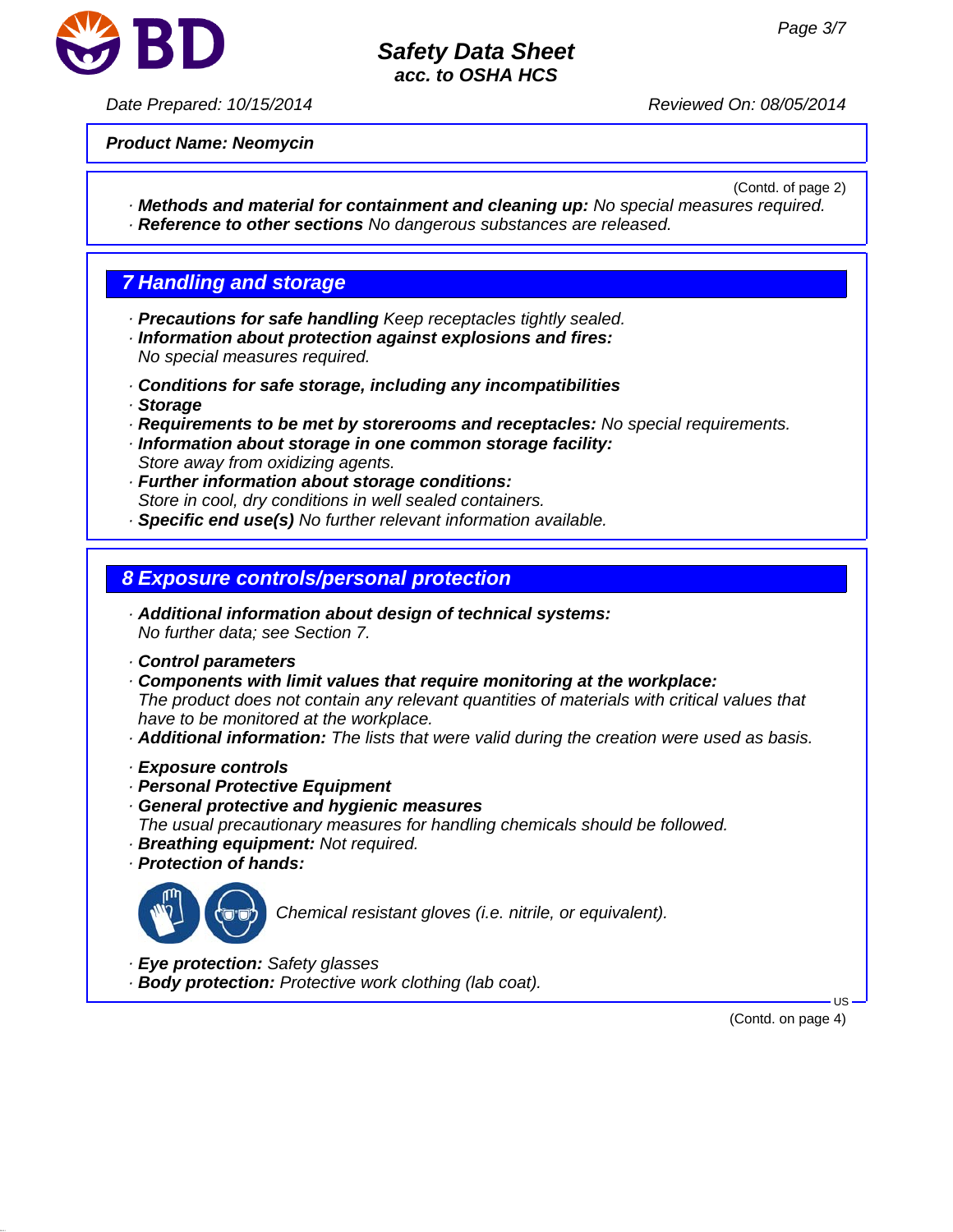

*Date Prepared: 10/15/2014 Reviewed On: 08/05/2014*

*Product Name: Neomycin*

(Contd. of page 2)

*· Methods and material for containment and cleaning up: No special measures required. · Reference to other sections No dangerous substances are released.*

# *7 Handling and storage*

- *· Precautions for safe handling Keep receptacles tightly sealed.*
- *· Information about protection against explosions and fires: No special measures required.*
- *· Conditions for safe storage, including any incompatibilities*
- *· Storage*
- *· Requirements to be met by storerooms and receptacles: No special requirements.*
- *· Information about storage in one common storage facility: Store away from oxidizing agents.*
- *· Further information about storage conditions: Store in cool, dry conditions in well sealed containers.*
- *· Specific end use(s) No further relevant information available.*

## *8 Exposure controls/personal protection*

- *· Additional information about design of technical systems: No further data; see Section 7.*
- *· Control parameters*
- *· Components with limit values that require monitoring at the workplace: The product does not contain any relevant quantities of materials with critical values that have to be monitored at the workplace.*
- *· Additional information: The lists that were valid during the creation were used as basis.*
- *· Exposure controls*
- *· Personal Protective Equipment*
- *· General protective and hygienic measures*
- *The usual precautionary measures for handling chemicals should be followed.*
- *· Breathing equipment: Not required.*
- *· Protection of hands:*



*Chemical resistant gloves (i.e. nitrile, or equivalent).*

- *· Eye protection: Safety glasses*
- *· Body protection: Protective work clothing (lab coat).*

(Contd. on page 4)

US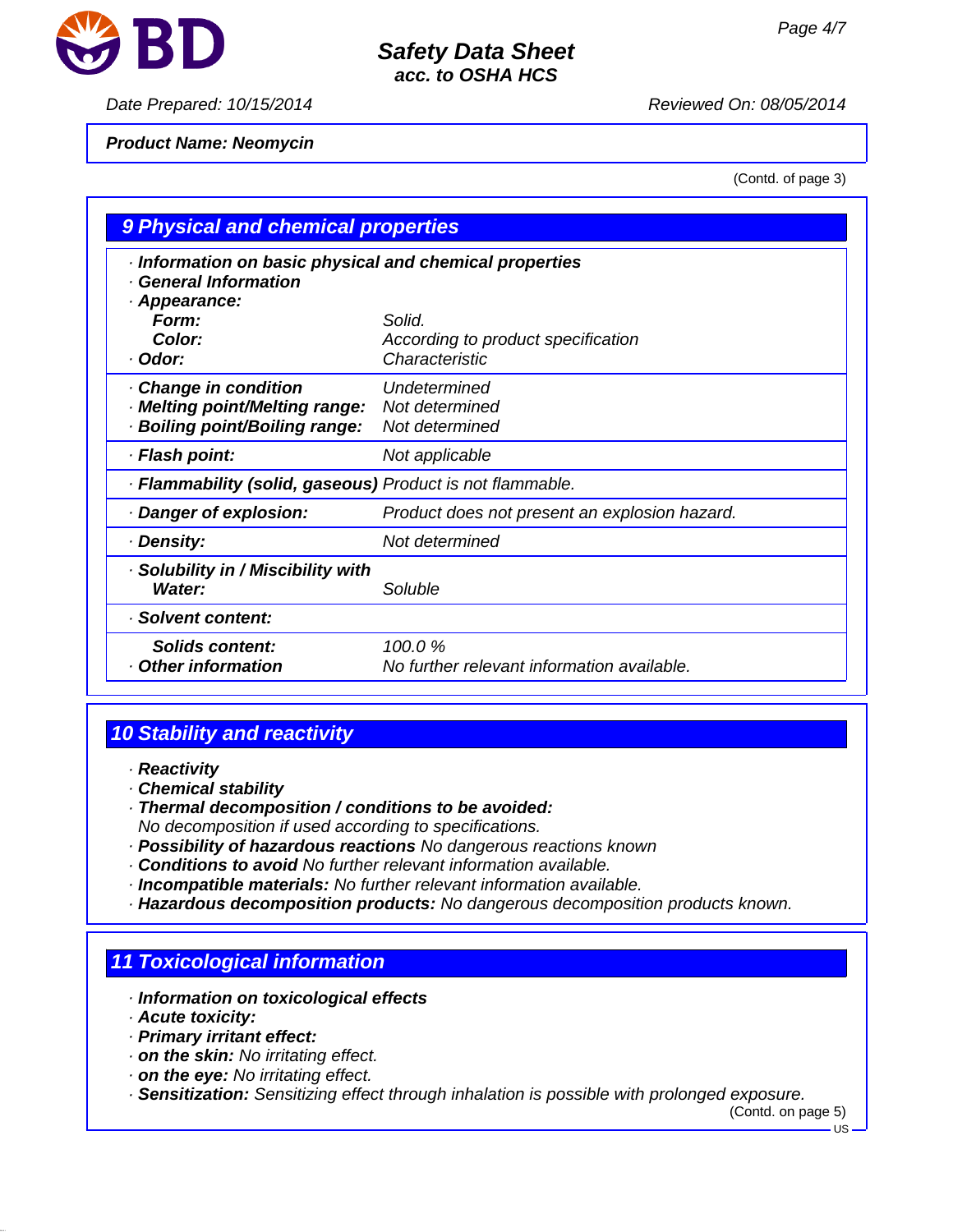

### *Date Prepared: 10/15/2014 Reviewed On: 08/05/2014*

*Product Name: Neomycin*

(Contd. of page 3)

| 9 Physical and chemical properties                                                              |                                                                |  |
|-------------------------------------------------------------------------------------------------|----------------------------------------------------------------|--|
| Information on basic physical and chemical properties<br>· General Information<br>· Appearance: |                                                                |  |
| Form:<br>Color:<br>· Odor:                                                                      | Solid.<br>According to product specification<br>Characteristic |  |
| · Change in condition<br>· Melting point/Melting range:<br>· Boiling point/Boiling range:       | Undetermined<br>Not determined<br>Not determined               |  |
| · Flash point:                                                                                  | Not applicable                                                 |  |
| · Flammability (solid, gaseous) Product is not flammable.                                       |                                                                |  |
| · Danger of explosion:                                                                          | Product does not present an explosion hazard.                  |  |
| · Density:                                                                                      | Not determined                                                 |  |
| · Solubility in / Miscibility with<br>Water:                                                    | Soluble                                                        |  |
| · Solvent content:                                                                              |                                                                |  |
| Solids content:<br>Other information                                                            | 100.0%<br>No further relevant information available.           |  |

# *10 Stability and reactivity*

- *· Reactivity*
- *· Chemical stability*
- *· Thermal decomposition / conditions to be avoided: No decomposition if used according to specifications.*
- *· Possibility of hazardous reactions No dangerous reactions known*
- *· Conditions to avoid No further relevant information available.*
- *· Incompatible materials: No further relevant information available.*
- *· Hazardous decomposition products: No dangerous decomposition products known.*

# *11 Toxicological information*

- *· Information on toxicological effects*
- *· Acute toxicity:*
- *· Primary irritant effect:*
- *· on the skin: No irritating effect.*
- *· on the eye: No irritating effect.*

*· Sensitization: Sensitizing effect through inhalation is possible with prolonged exposure.*

(Contd. on page 5)

 $\overline{18}$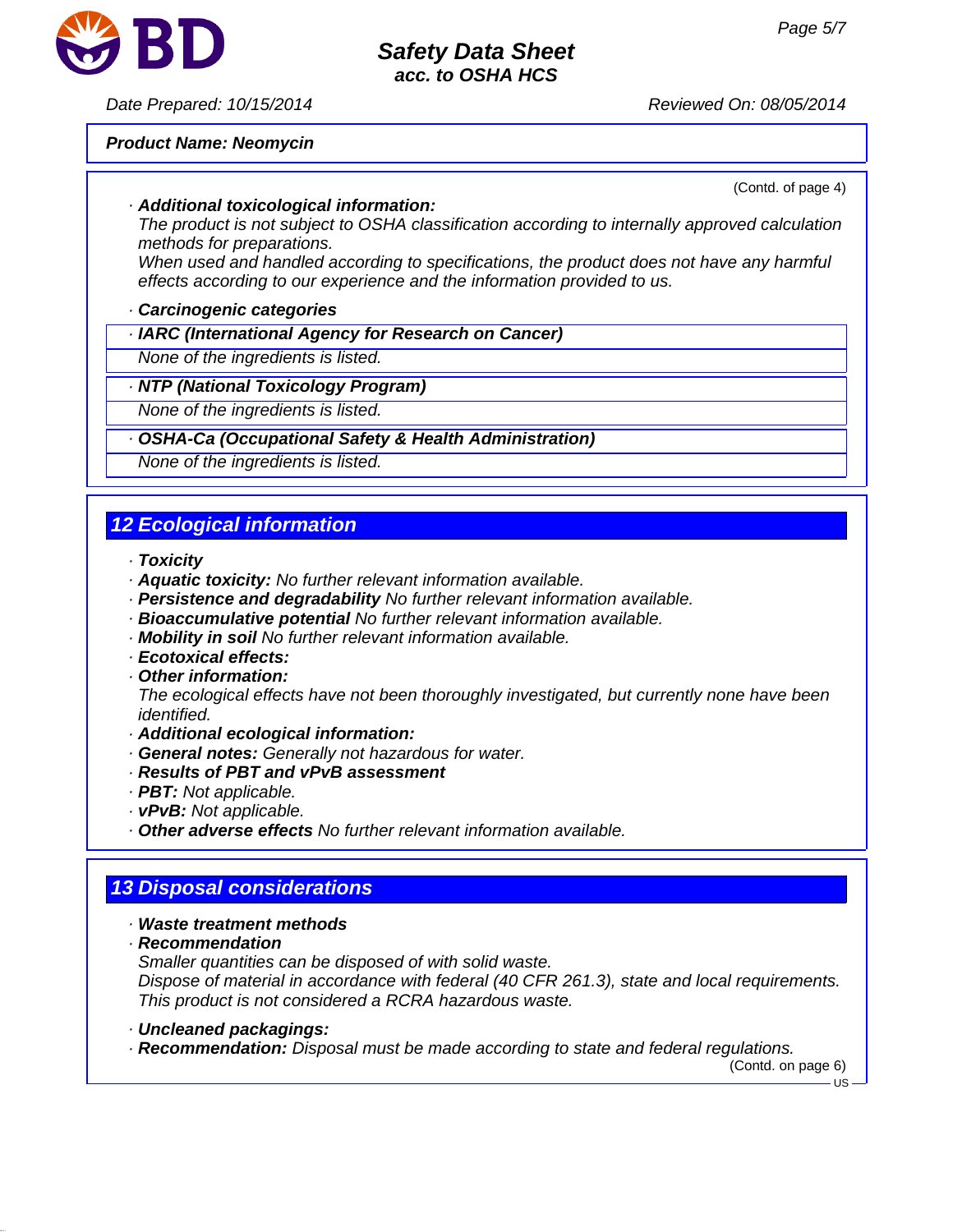

## *Date Prepared: 10/15/2014 Reviewed On: 08/05/2014*

#### *Product Name: Neomycin*

(Contd. of page 4)

#### *· Additional toxicological information:*

*The product is not subject to OSHA classification according to internally approved calculation methods for preparations.*

*When used and handled according to specifications, the product does not have any harmful effects according to our experience and the information provided to us.*

#### *· Carcinogenic categories*

### *· IARC (International Agency for Research on Cancer)*

*None of the ingredients is listed.*

#### *· NTP (National Toxicology Program)*

*None of the ingredients is listed.*

#### *· OSHA-Ca (Occupational Safety & Health Administration)*

*None of the ingredients is listed.*

# *12 Ecological information*

- *· Toxicity*
- *· Aquatic toxicity: No further relevant information available.*
- *· Persistence and degradability No further relevant information available.*
- *· Bioaccumulative potential No further relevant information available.*
- *· Mobility in soil No further relevant information available.*
- *· Ecotoxical effects:*
- *· Other information:*

*The ecological effects have not been thoroughly investigated, but currently none have been identified.*

- *· Additional ecological information:*
- *· General notes: Generally not hazardous for water.*
- *· Results of PBT and vPvB assessment*
- *· PBT: Not applicable.*
- *· vPvB: Not applicable.*
- *· Other adverse effects No further relevant information available.*

# *13 Disposal considerations*

#### *· Waste treatment methods*

*· Recommendation*

*Smaller quantities can be disposed of with solid waste.*

*Dispose of material in accordance with federal (40 CFR 261.3), state and local requirements. This product is not considered a RCRA hazardous waste.*

- *· Uncleaned packagings:*
- *· Recommendation: Disposal must be made according to state and federal regulations.*

(Contd. on page 6)

US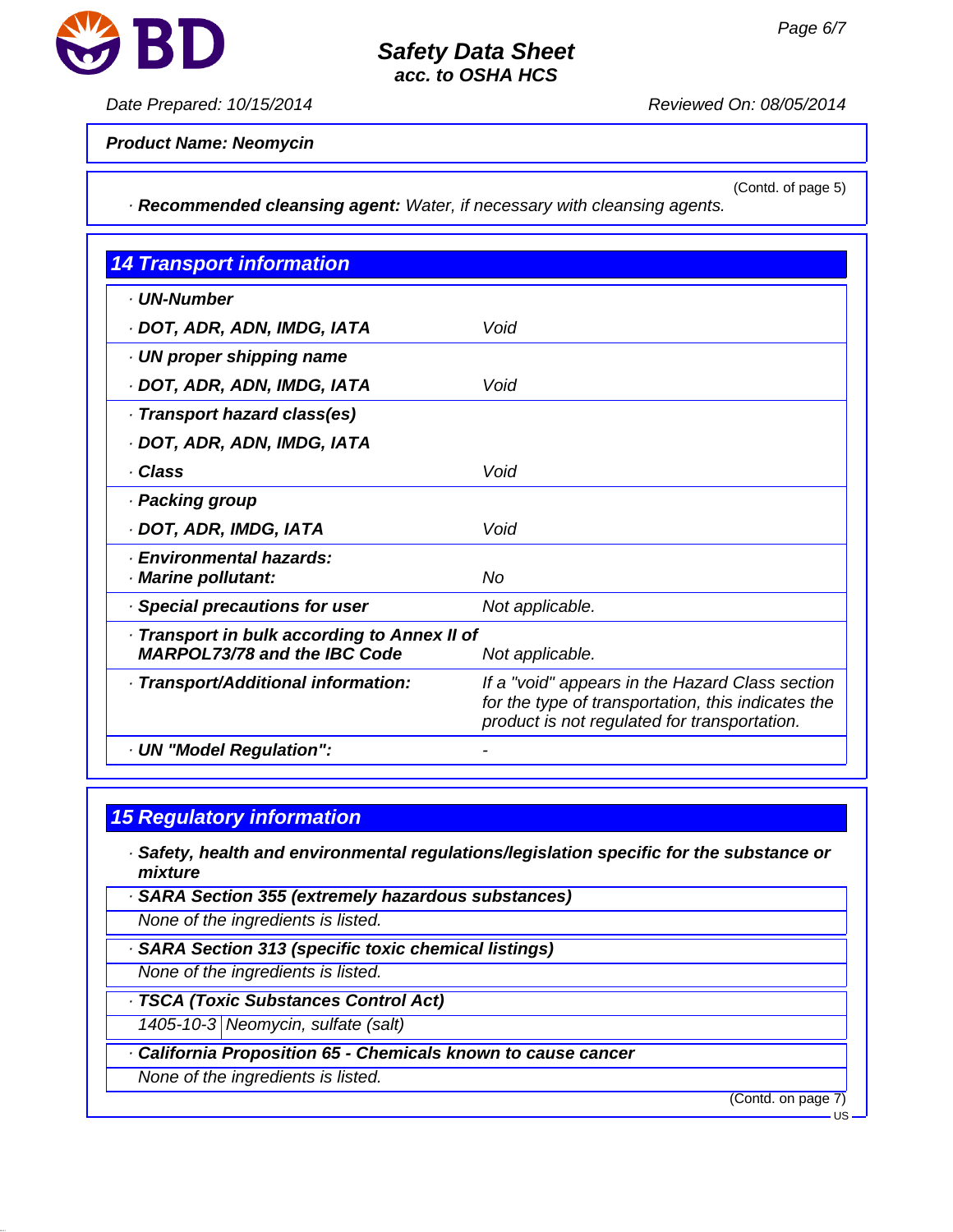

## *Date Prepared: 10/15/2014 Reviewed On: 08/05/2014*

*Product Name: Neomycin*

(Contd. of page 5)

*· Recommended cleansing agent: Water, if necessary with cleansing agents.*

| <b>14 Transport information</b>                                                                        |                                                                                                                                                       |  |
|--------------------------------------------------------------------------------------------------------|-------------------------------------------------------------------------------------------------------------------------------------------------------|--|
| · UN-Number                                                                                            |                                                                                                                                                       |  |
| · DOT, ADR, ADN, IMDG, IATA                                                                            | Void                                                                                                                                                  |  |
| $\cdot$ UN proper shipping name                                                                        |                                                                                                                                                       |  |
| · DOT, ADR, ADN, IMDG, IATA                                                                            | Void                                                                                                                                                  |  |
| Transport hazard class(es)                                                                             |                                                                                                                                                       |  |
| · DOT, ADR, ADN, IMDG, IATA                                                                            |                                                                                                                                                       |  |
| · Class                                                                                                | Void                                                                                                                                                  |  |
| · Packing group                                                                                        |                                                                                                                                                       |  |
| · DOT, ADR, IMDG, IATA                                                                                 | Void                                                                                                                                                  |  |
| · Environmental hazards:<br>· Marine pollutant:                                                        | No                                                                                                                                                    |  |
| · Special precautions for user                                                                         | Not applicable.                                                                                                                                       |  |
| · Transport in bulk according to Annex II of<br><b>MARPOL73/78 and the IBC Code</b><br>Not applicable. |                                                                                                                                                       |  |
| · Transport/Additional information:                                                                    | If a "void" appears in the Hazard Class section<br>for the type of transportation, this indicates the<br>product is not regulated for transportation. |  |
| · UN "Model Regulation":                                                                               |                                                                                                                                                       |  |

# *15 Regulatory information*

- *· Safety, health and environmental regulations/legislation specific for the substance or mixture*
- *· SARA Section 355 (extremely hazardous substances)*
- *None of the ingredients is listed.*
- *· SARA Section 313 (specific toxic chemical listings)*
- *None of the ingredients is listed.*
- *· TSCA (Toxic Substances Control Act)*
- *1405-10-3 Neomycin, sulfate (salt)*
- **California Proposition 65 Chemicals known to cause cancer**
- *None of the ingredients is listed.*

(Contd. on page 7)

US